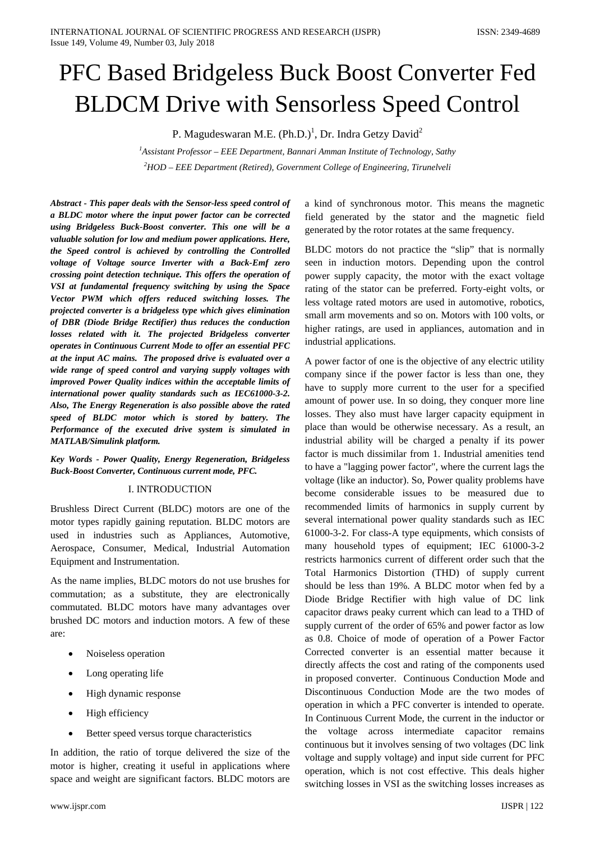# PFC Based Bridgeless Buck Boost Converter Fed BLDCM Drive with Sensorless Speed Control

P. Magudeswaran M.E. (Ph.D.)<sup>1</sup>, Dr. Indra Getzy David<sup>2</sup>

*1 Assistant Professor – EEE Department, Bannari Amman Institute of Technology, Sathy 2 HOD – EEE Department (Retired), Government College of Engineering, Tirunelveli*

*Abstract - This paper deals with the Sensor-less speed control of a BLDC motor where the input power factor can be corrected using Bridgeless Buck-Boost converter. This one will be a valuable solution for low and medium power applications. Here, the Speed control is achieved by controlling the Controlled voltage of Voltage source Inverter with a Back-Emf zero crossing point detection technique. This offers the operation of VSI at fundamental frequency switching by using the Space Vector PWM which offers reduced switching losses. The projected converter is a bridgeless type which gives elimination of DBR (Diode Bridge Rectifier) thus reduces the conduction losses related with it. The projected Bridgeless converter operates in Continuous Current Mode to offer an essential PFC at the input AC mains. The proposed drive is evaluated over a wide range of speed control and varying supply voltages with improved Power Quality indices within the acceptable limits of international power quality standards such as IEC61000-3-2. Also, The Energy Regeneration is also possible above the rated speed of BLDC motor which is stored by battery. The Performance of the executed drive system is simulated in MATLAB/Simulink platform.*

*Key Words - Power Quality, Energy Regeneration, Bridgeless Buck-Boost Converter, Continuous current mode, PFC.*

#### I. INTRODUCTION

Brushless Direct Current (BLDC) motors are one of the motor types rapidly gaining reputation. BLDC motors are used in industries such as Appliances, Automotive, Aerospace, Consumer, Medical, Industrial Automation Equipment and Instrumentation.

As the name implies, BLDC motors do not use brushes for commutation; as a substitute, they are electronically commutated. BLDC motors have many advantages over brushed DC motors and induction motors. A few of these are:

- Noiseless operation
- Long operating life
- High dynamic response
- High efficiency
- Better speed versus torque characteristics

In addition, the ratio of torque delivered the size of the motor is higher, creating it useful in applications where space and weight are significant factors. BLDC motors are a kind of synchronous motor. This means the magnetic field generated by the stator and the magnetic field generated by the rotor rotates at the same frequency.

BLDC motors do not practice the "slip" that is normally seen in induction motors. Depending upon the control power supply capacity, the motor with the exact voltage rating of the stator can be preferred. Forty-eight volts, or less voltage rated motors are used in automotive, robotics, small arm movements and so on. Motors with 100 volts, or higher ratings, are used in appliances, automation and in industrial applications.

A power factor of one is the objective of any electric utility company since if the power factor is less than one, they have to supply more current to the user for a specified amount of power use. In so doing, they conquer more line losses. They also must have larger capacity equipment in place than would be otherwise necessary. As a result, an industrial ability will be charged a penalty if its power factor is much dissimilar from 1. Industrial amenities tend to have a "lagging power factor", where the current lags the voltage (like an inductor). So, Power quality problems have become considerable issues to be measured due to recommended limits of harmonics in supply current by several international power quality standards such as IEC 61000-3-2. For class-A type equipments, which consists of many household types of equipment; IEC 61000-3-2 restricts harmonics current of different order such that the Total Harmonics Distortion (THD) of supply current should be less than 19%. A BLDC motor when fed by a Diode Bridge Rectifier with high value of DC link capacitor draws peaky current which can lead to a THD of supply current of the order of 65% and power factor as low as 0.8. Choice of mode of operation of a Power Factor Corrected converter is an essential matter because it directly affects the cost and rating of the components used in proposed converter. Continuous Conduction Mode and Discontinuous Conduction Mode are the two modes of operation in which a PFC converter is intended to operate. In Continuous Current Mode, the current in the inductor or the voltage across intermediate capacitor remains continuous but it involves sensing of two voltages (DC link voltage and supply voltage) and input side current for PFC operation, which is not cost effective. This deals higher switching losses in VSI as the switching losses increases as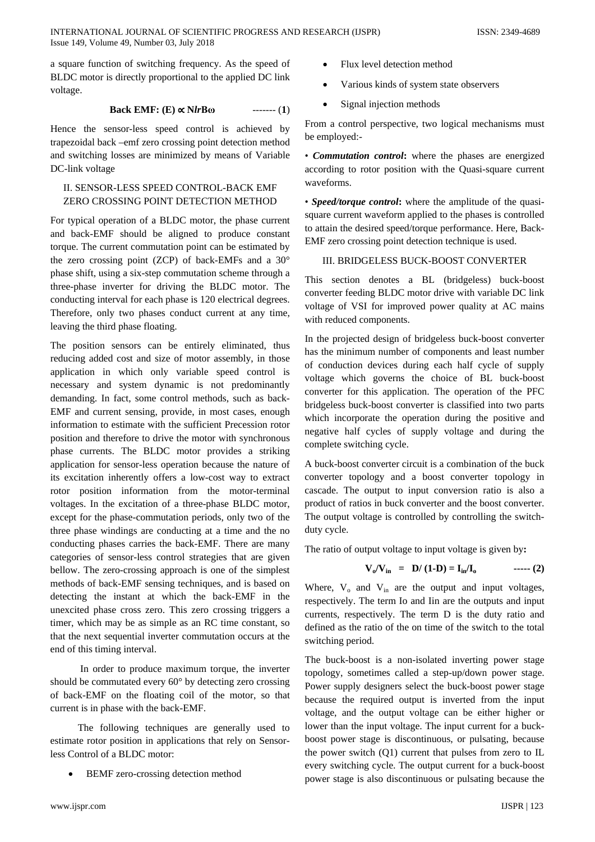a square function of switching frequency. As the speed of BLDC motor is directly proportional to the applied DC link voltage.

## **Back EMF:** (**E**)  $\propto$  **N***lr***B** $\omega$  *-------* (**1**)

Hence the sensor-less speed control is achieved by trapezoidal back –emf zero crossing point detection method and switching losses are minimized by means of Variable DC-link voltage

# II. SENSOR-LESS SPEED CONTROL-BACK EMF ZERO CROSSING POINT DETECTION METHOD

For typical operation of a BLDC motor, the phase current and back-EMF should be aligned to produce constant torque. The current commutation point can be estimated by the zero crossing point (ZCP) of back-EMFs and a 30° phase shift, using a six-step commutation scheme through a three-phase inverter for driving the BLDC motor. The conducting interval for each phase is 120 electrical degrees. Therefore, only two phases conduct current at any time, leaving the third phase floating.

The position sensors can be entirely eliminated, thus reducing added cost and size of motor assembly, in those application in which only variable speed control is necessary and system dynamic is not predominantly demanding. In fact, some control methods, such as back-EMF and current sensing, provide, in most cases, enough information to estimate with the sufficient Precession rotor position and therefore to drive the motor with synchronous phase currents. The BLDC motor provides a striking application for sensor-less operation because the nature of its excitation inherently offers a low-cost way to extract rotor position information from the motor-terminal voltages. In the excitation of a three-phase BLDC motor, except for the phase-commutation periods, only two of the three phase windings are conducting at a time and the no conducting phases carries the back-EMF. There are many categories of sensor-less control strategies that are given bellow. The zero-crossing approach is one of the simplest methods of back-EMF sensing techniques, and is based on detecting the instant at which the back-EMF in the unexcited phase cross zero. This zero crossing triggers a timer, which may be as simple as an RC time constant, so that the next sequential inverter commutation occurs at the end of this timing interval.

 In order to produce maximum torque, the inverter should be commutated every 60° by detecting zero crossing of back-EMF on the floating coil of the motor, so that current is in phase with the back-EMF.

 The following techniques are generally used to estimate rotor position in applications that rely on Sensorless Control of a BLDC motor:

BEMF zero-crossing detection method

- Flux level detection method
- Various kinds of system state observers
- Signal injection methods

From a control perspective, two logical mechanisms must be employed:-

• *Commutation control***:** where the phases are energized according to rotor position with the Quasi-square current waveforms.

• *Speed/torque control***:** where the amplitude of the quasisquare current waveform applied to the phases is controlled to attain the desired speed/torque performance. Here, Back-EMF zero crossing point detection technique is used.

#### III. BRIDGELESS BUCK-BOOST CONVERTER

This section denotes a BL (bridgeless) buck-boost converter feeding BLDC motor drive with variable DC link voltage of VSI for improved power quality at AC mains with reduced components.

In the projected design of bridgeless buck-boost converter has the minimum number of components and least number of conduction devices during each half cycle of supply voltage which governs the choice of BL buck-boost converter for this application. The operation of the PFC bridgeless buck-boost converter is classified into two parts which incorporate the operation during the positive and negative half cycles of supply voltage and during the complete switching cycle.

A buck-boost converter circuit is a combination of the buck converter topology and a boost converter topology in cascade. The output to input conversion ratio is also a product of ratios in buck converter and the boost converter. The output voltage is controlled by controlling the switchduty cycle.

The ratio of output voltage to input voltage is given by**:** 

 **Vo/Vin = D/ (1-D) = Iin/Io ----- (2)**

Where,  $V_0$  and  $V_{in}$  are the output and input voltages, respectively. The term Io and Iin are the outputs and input currents, respectively. The term D is the duty ratio and defined as the ratio of the on time of the switch to the total switching period.

The buck-boost is a non-isolated inverting power stage topology, sometimes called a step-up/down power stage. Power supply designers select the buck-boost power stage because the required output is inverted from the input voltage, and the output voltage can be either higher or lower than the input voltage. The input current for a buckboost power stage is discontinuous, or pulsating, because the power switch (Q1) current that pulses from zero to IL every switching cycle. The output current for a buck-boost power stage is also discontinuous or pulsating because the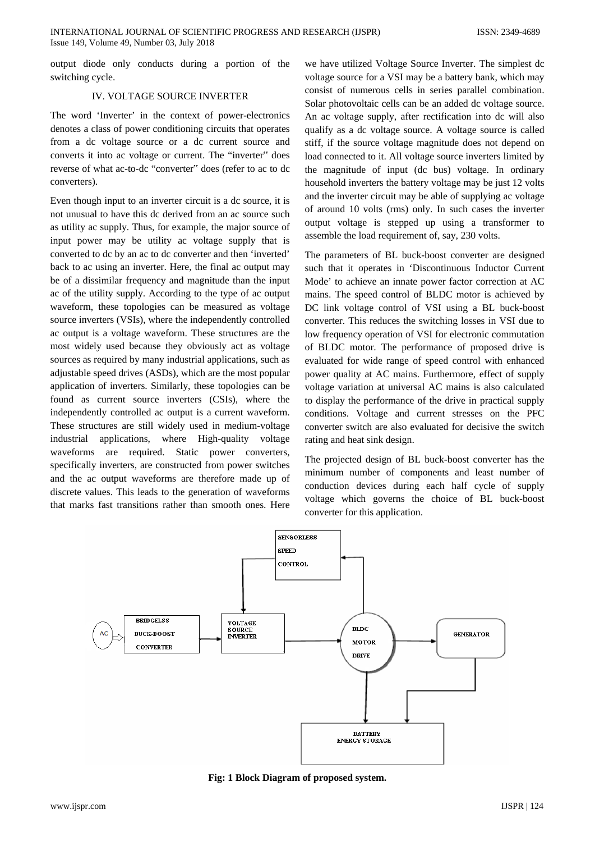output diode only conducts during a portion of the switching cycle.

## IV. VOLTAGE SOURCE INVERTER

The word 'Inverter' in the context of power-electronics denotes a class of power conditioning circuits that operates from a dc voltage source or a dc current source and converts it into ac voltage or current. The "inverter" does reverse of what ac-to-dc "converter" does (refer to ac to dc converters).

Even though input to an inverter circuit is a dc source, it is not unusual to have this dc derived from an ac source such as utility ac supply. Thus, for example, the major source of input power may be utility ac voltage supply that is converted to dc by an ac to dc converter and then 'inverted' back to ac using an inverter. Here, the final ac output may be of a dissimilar frequency and magnitude than the input ac of the utility supply. According to the type of ac output waveform, these topologies can be measured as voltage source inverters (VSIs), where the independently controlled ac output is a voltage waveform. These structures are the most widely used because they obviously act as voltage sources as required by many industrial applications, such as adjustable speed drives (ASDs), which are the most popular application of inverters. Similarly, these topologies can be found as current source inverters (CSIs), where the independently controlled ac output is a current waveform. These structures are still widely used in medium-voltage industrial applications, where High-quality voltage waveforms are required. Static power converters, specifically inverters, are constructed from power switches and the ac output waveforms are therefore made up of discrete values. This leads to the generation of waveforms that marks fast transitions rather than smooth ones. Here

we have utilized Voltage Source Inverter. The simplest dc voltage source for a VSI may be a battery bank, which may consist of numerous cells in series parallel combination. Solar photovoltaic cells can be an added dc voltage source. An ac voltage supply, after rectification into dc will also qualify as a dc voltage source. A voltage source is called stiff, if the source voltage magnitude does not depend on load connected to it. All voltage source inverters limited by the magnitude of input (dc bus) voltage. In ordinary household inverters the battery voltage may be just 12 volts and the inverter circuit may be able of supplying ac voltage of around 10 volts (rms) only. In such cases the inverter output voltage is stepped up using a transformer to assemble the load requirement of, say, 230 volts.

The parameters of BL buck-boost converter are designed such that it operates in 'Discontinuous Inductor Current Mode' to achieve an innate power factor correction at AC mains. The speed control of BLDC motor is achieved by DC link voltage control of VSI using a BL buck-boost converter. This reduces the switching losses in VSI due to low frequency operation of VSI for electronic commutation of BLDC motor. The performance of proposed drive is evaluated for wide range of speed control with enhanced power quality at AC mains. Furthermore, effect of supply voltage variation at universal AC mains is also calculated to display the performance of the drive in practical supply conditions. Voltage and current stresses on the PFC converter switch are also evaluated for decisive the switch rating and heat sink design.

The projected design of BL buck-boost converter has the minimum number of components and least number of conduction devices during each half cycle of supply voltage which governs the choice of BL buck-boost converter for this application.



**Fig: 1 Block Diagram of proposed system.**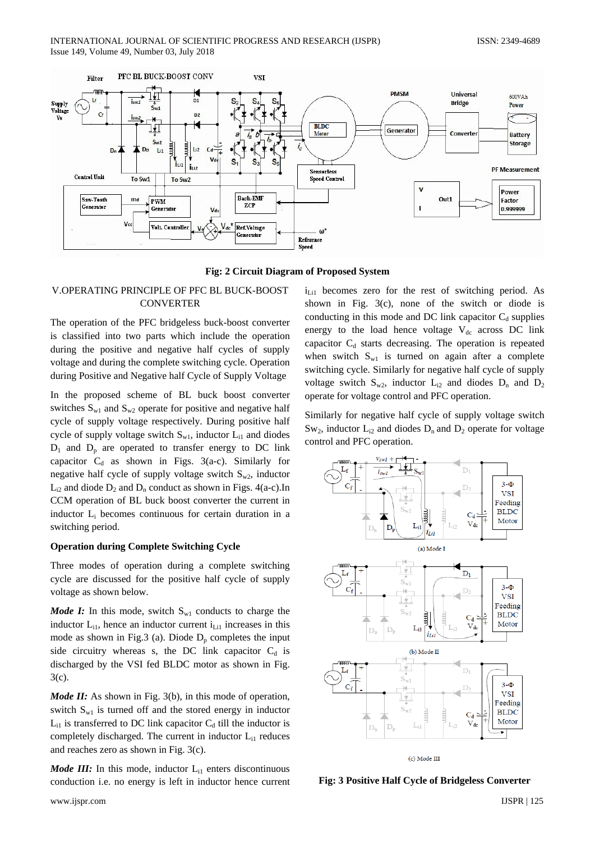



# V.OPERATING PRINCIPLE OF PFC BL BUCK-BOOST **CONVERTER**

The operation of the PFC bridgeless buck-boost converter is classified into two parts which include the operation during the positive and negative half cycles of supply voltage and during the complete switching cycle. Operation during Positive and Negative half Cycle of Supply Voltage

In the proposed scheme of BL buck boost converter switches  $S_{w1}$  and  $S_{w2}$  operate for positive and negative half cycle of supply voltage respectively. During positive half cycle of supply voltage switch  $S_{w1}$ , inductor  $L_{i1}$  and diodes  $D_1$  and  $D_p$  are operated to transfer energy to DC link capacitor  $C_d$  as shown in Figs. 3(a-c). Similarly for negative half cycle of supply voltage switch  $S_{w2}$ , inductor  $L_{i2}$  and diode  $D_2$  and  $D_n$  conduct as shown in Figs. 4(a-c). In CCM operation of BL buck boost converter the current in inductor Li becomes continuous for certain duration in a switching period.

# **Operation during Complete Switching Cycle**

Three modes of operation during a complete switching cycle are discussed for the positive half cycle of supply voltage as shown below.

*Mode I:* In this mode, switch  $S_{w1}$  conducts to charge the inductor  $L_{i1}$ , hence an inductor current  $i_{Li1}$  increases in this mode as shown in Fig.3 (a). Diode  $D_p$  completes the input side circuitry whereas s, the DC link capacitor  $C_d$  is discharged by the VSI fed BLDC motor as shown in Fig. 3(c).

*Mode II:* As shown in Fig. 3(b), in this mode of operation, switch  $S_{w1}$  is turned off and the stored energy in inductor  $L_{i1}$  is transferred to DC link capacitor  $C_d$  till the inductor is completely discharged. The current in inductor  $L_{i1}$  reduces and reaches zero as shown in Fig. 3(c).

*Mode III:* In this mode, inductor  $L_{i1}$  enters discontinuous conduction i.e. no energy is left in inductor hence current

i<sub>Li1</sub> becomes zero for the rest of switching period. As shown in Fig. 3(c), none of the switch or diode is conducting in this mode and DC link capacitor  $C_d$  supplies energy to the load hence voltage  $V_{dc}$  across DC link capacitor  $C_d$  starts decreasing. The operation is repeated when switch  $S_{w1}$  is turned on again after a complete switching cycle. Similarly for negative half cycle of supply voltage switch  $S_{w2}$ , inductor  $L_{i2}$  and diodes  $D_n$  and  $D_2$ operate for voltage control and PFC operation.

Similarly for negative half cycle of supply voltage switch  $Sw_2$ , inductor  $L_{i2}$  and diodes  $D_n$  and  $D_2$  operate for voltage control and PFC operation.



(c) Mode III

**Fig: 3 Positive Half Cycle of Bridgeless Converter**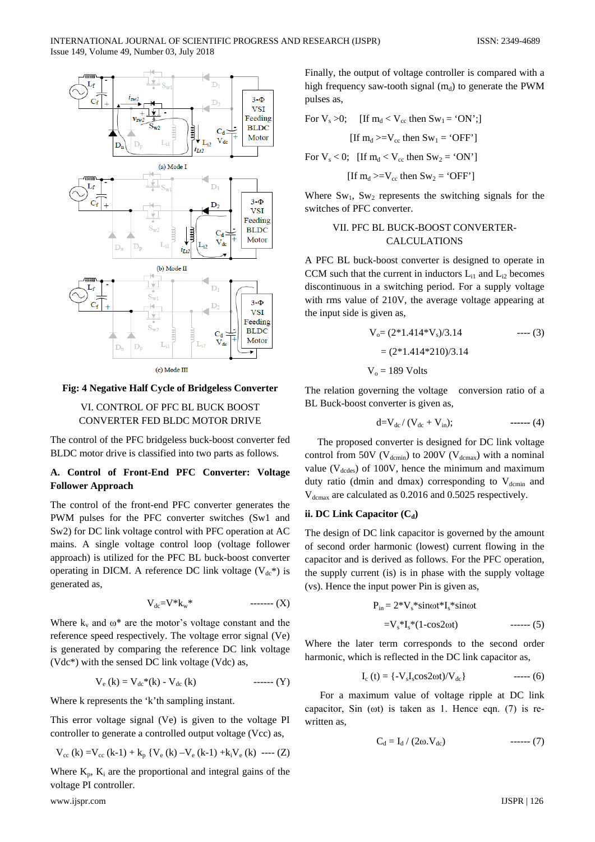

(c) Mode III

#### **Fig: 4 Negative Half Cycle of Bridgeless Converter**

#### VI. CONTROL OF PFC BL BUCK BOOST CONVERTER FED BLDC MOTOR DRIVE

The control of the PFC bridgeless buck-boost converter fed BLDC motor drive is classified into two parts as follows.

## **A. Control of Front-End PFC Converter: Voltage Follower Approach**

The control of the front-end PFC converter generates the PWM pulses for the PFC converter switches (Sw1 and Sw2) for DC link voltage control with PFC operation at AC mains. A single voltage control loop (voltage follower approach) is utilized for the PFC BL buck-boost converter operating in DICM. A reference DC link voltage  $(V_{dc}^*)$  is generated as,

$$
V_{dc} = V^* k_w^* \qquad \qquad \text{---}(X)
$$

Where  $k_v$  and  $\omega^*$  are the motor's voltage constant and the reference speed respectively. The voltage error signal (Ve) is generated by comparing the reference DC link voltage (Vdc\*) with the sensed DC link voltage (Vdc) as,

$$
V_e (k) = V_{dc} * (k) - V_{dc} (k) \qquad \qquad \text{---}(Y)
$$

Where k represents the 'k'th sampling instant.

This error voltage signal (Ve) is given to the voltage PI controller to generate a controlled output voltage (Vcc) as,

$$
V_{cc} (k) = V_{cc} (k-1) + k_p \{ V_e (k) - V_e (k-1) + k_i V_e (k) \ \text{---} (Z)
$$

Where  $K_p$ ,  $K_i$  are the proportional and integral gains of the voltage PI controller.

www.ijspr.com IJSPR | 126

Finally, the output of voltage controller is compared with a high frequency saw-tooth signal  $(m_d)$  to generate the PWM pulses as,

For Vs >0; [If md < Vcc then Sw1 = 'ON';] [If md >=Vcc then Sw1 = 'OFF'] For Vs < 0; [If md < Vcc then Sw2 = 'ON']

[If 
$$
m_d
$$
>= $V_{cc}$  then  $Sw_2$  = 'OFF']

Where  $Sw_1$ ,  $Sw_2$  represents the switching signals for the switches of PFC converter.

# VII. PFC BL BUCK-BOOST CONVERTER-CALCULATIONS

A PFC BL buck-boost converter is designed to operate in CCM such that the current in inductors  $L_{i1}$  and  $L_{i2}$  becomes discontinuous in a switching period. For a supply voltage with rms value of 210V, the average voltage appearing at the input side is given as,

$$
V_o = (2*1.414*V_s)/3.14
$$
 ----(3)  
= (2\*1.414\*210)/3.14  

$$
V_o = 189 \text{ Volts}
$$

The relation governing the voltage conversion ratio of a BL Buck-boost converter is given as,

$$
d=V_{dc}/(V_{dc}+V_{in}); \qquad \qquad \text{---} \qquad (4)
$$

 The proposed converter is designed for DC link voltage control from 50V ( $V_{\text{demin}}$ ) to 200V ( $V_{\text{demax}}$ ) with a nominal value ( $V_{\text{dcdes}}$ ) of 100V, hence the minimum and maximum duty ratio (dmin and dmax) corresponding to  $V_{\text{demin}}$  and  $V_{\text{demax}}$  are calculated as 0.2016 and 0.5025 respectively.

#### **ii. DC Link Capacitor (C<sub>d</sub>)**

The design of DC link capacitor is governed by the amount of second order harmonic (lowest) current flowing in the capacitor and is derived as follows. For the PFC operation, the supply current (is) is in phase with the supply voltage (vs). Hence the input power Pin is given as,

$$
P_{in} = 2*V_s * sin\omega t * I_s * sin\omega t
$$

$$
=V_s * I_s * (1-cos2\omega t) \qquad \qquad (5)
$$

Where the later term corresponds to the second order harmonic, which is reflected in the DC link capacitor as,

$$
I_c (t) = \{-V_s I_s \cos 2\omega t / V_{dc}\}\
$$
---(6)

 For a maximum value of voltage ripple at DC link capacitor, Sin (ωt) is taken as 1. Hence eqn. (7) is rewritten as.

$$
C_d = I_d / (2\omega.V_{dc})
$$
 --- (7)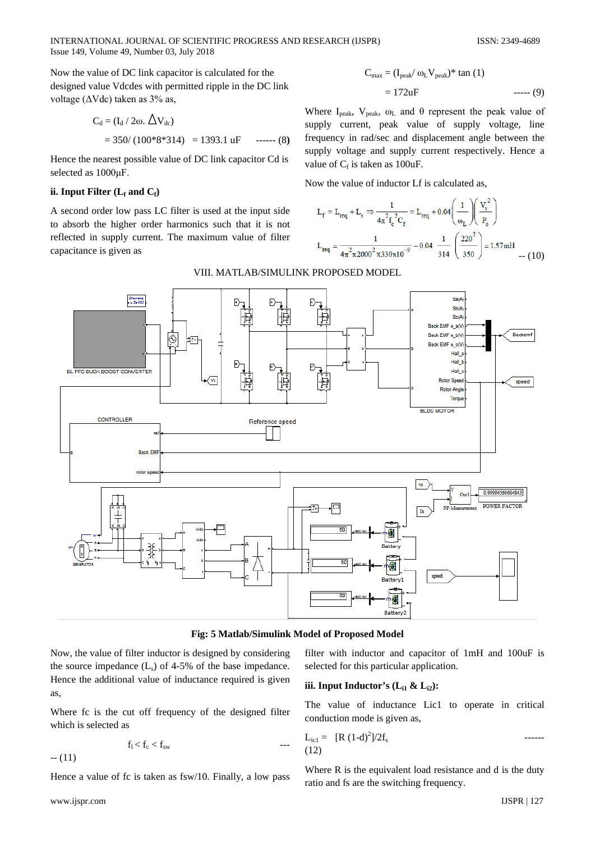INTERNATIONAL JOURNAL OF SCIENTIFIC PROGRESS AND RESEARCH (IJSPR) ISSN: 2349-4689 Issue 149, Volume 49, Number 03, July 2018

Now the value of DC link capacitor is calculated for the designed value Vdcdes with permitted ripple in the DC link voltage ( $\Delta$ Vdc) taken as 3% as,

$$
C_d = (I_d / 2\omega. \triangle V_{dc})
$$
  
= 350/(100\*8\*314) = 1393.1 uF \t---(8)

Hence the nearest possible value of DC link capacitor Cd is selected as 1000μF.

# ii. Input Filter  $(L_f$  and  $C_f$

A second order low pass LC filter is used at the input side to absorb the higher order harmonics such that it is not reflected in supply current. The maximum value of filter capacitance is given as

$$
C_{\text{max}} = (I_{\text{peak}} / \omega_L V_{\text{peak}})^* \tan(1)
$$

$$
= 172uF \qquad \qquad (9)
$$

Where I<sub>peak</sub>, V<sub>peak</sub>,  $\omega_L$  and  $\theta$  represent the peak value of supply current, peak value of supply voltage, line frequency in rad/sec and displacement angle between the supply voltage and supply current respectively. Hence a value of  $C_f$  is taken as 100uF.

Now the value of inductor Lf is calculated as,

$$
L_{f} = L_{req} + L_{s} \Rightarrow \frac{1}{4\pi^{2} f_{c}^{2} C_{f}} = L_{req} + 0.04 \left(\frac{1}{\omega_{L}}\right) \left(\frac{V_{s}^{2}}{P_{o}}\right)
$$

$$
L_{req} = \frac{1}{4\pi^{2} x 2000^{2} x 330x 10^{-9}} - 0.04 \frac{1}{314} \left(\frac{220^{2}}{350}\right) = 1.57 \text{mH}
$$



**Fig: 5 Matlab/Simulink Model of Proposed Model**

Now, the value of filter inductor is designed by considering the source impedance  $(L_s)$  of 4-5% of the base impedance. Hence the additional value of inductance required is given as,

Where fc is the cut off frequency of the designed filter which is selected as

$$
f_l < f_c < f_{sw}
$$

 $- (11)$ 

Hence a value of fc is taken as fsw/10. Finally, a low pass

filter with inductor and capacitor of 1mH and 100uF is selected for this particular application.

#### **iii.** Input Inductor's  $(L_{i1} \& L_{i2})$ :

The value of inductance Lic1 to operate in critical conduction mode is given as,

$$
L_{ic1} = [R (1-d)^{2}]/2f_{s}
$$
 (12)

Where R is the equivalent load resistance and d is the duty ratio and fs are the switching frequency.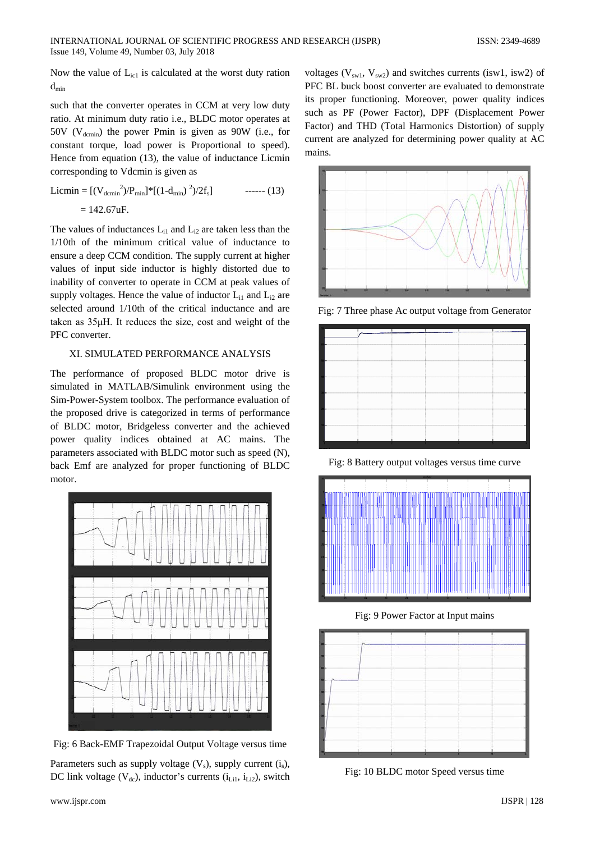Now the value of  $L_{ic1}$  is calculated at the worst duty ration  $d_{\min}$ 

such that the converter operates in CCM at very low duty ratio. At minimum duty ratio i.e., BLDC motor operates at 50V ( $V_{\text{demin}}$ ) the power Pmin is given as 90W (i.e., for constant torque, load power is Proportional to speed). Hence from equation (13), the value of inductance Licmin corresponding to Vdcmin is given as

$$
\begin{aligned} \text{Licmin} &= \left[ (\mathbf{V}_{\text{dcmin}}^2) / \mathbf{P}_{\text{min}} \right]^* \left[ (1 - \mathbf{d}_{\text{min}})^2 / 2 \mathbf{f}_s \right] \qquad \text{---} \tag{13} \\ &= 142.67 \text{uF.} \end{aligned}
$$

The values of inductances  $L_{i1}$  and  $L_{i2}$  are taken less than the 1/10th of the minimum critical value of inductance to ensure a deep CCM condition. The supply current at higher values of input side inductor is highly distorted due to inability of converter to operate in CCM at peak values of supply voltages. Hence the value of inductor  $L_{i1}$  and  $L_{i2}$  are selected around 1/10th of the critical inductance and are taken as 35μH. It reduces the size, cost and weight of the PFC converter.

# XI. SIMULATED PERFORMANCE ANALYSIS

The performance of proposed BLDC motor drive is simulated in MATLAB/Simulink environment using the Sim-Power-System toolbox. The performance evaluation of the proposed drive is categorized in terms of performance of BLDC motor, Bridgeless converter and the achieved power quality indices obtained at AC mains. The parameters associated with BLDC motor such as speed (N), back Emf are analyzed for proper functioning of BLDC motor.



Fig: 6 Back-EMF Trapezoidal Output Voltage versus time

Parameters such as supply voltage  $(V_s)$ , supply current  $(i_s)$ , DC link voltage ( $V_{dc}$ ), inductor's currents ( $i<sub>Li1</sub>$ ,  $i<sub>Li2</sub>$ ), switch

voltages ( $V_{sw1}$ ,  $V_{sw2}$ ) and switches currents (isw1, isw2) of PFC BL buck boost converter are evaluated to demonstrate its proper functioning. Moreover, power quality indices such as PF (Power Factor), DPF (Displacement Power Factor) and THD (Total Harmonics Distortion) of supply current are analyzed for determining power quality at AC mains.



Fig: 7 Three phase Ac output voltage from Generator



Fig: 8 Battery output voltages versus time curve



Fig: 9 Power Factor at Input mains



Fig: 10 BLDC motor Speed versus time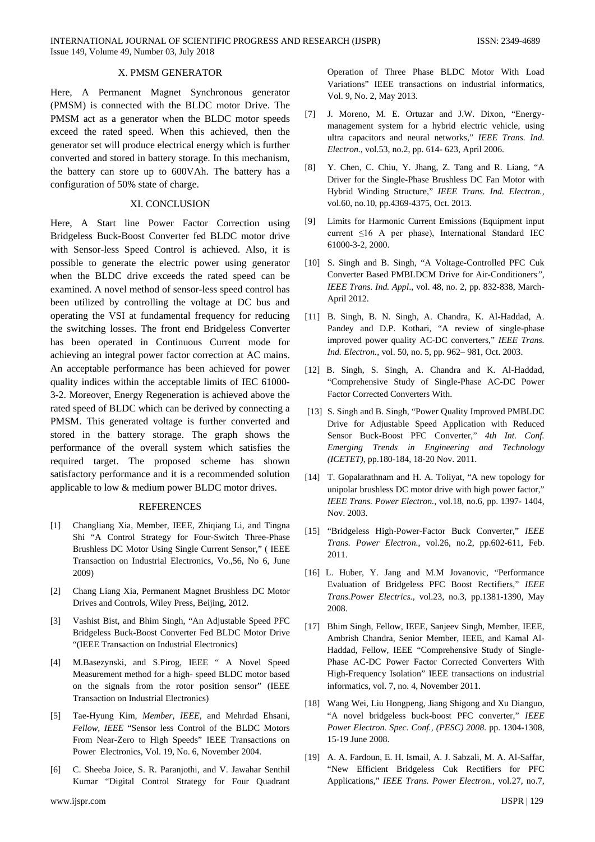## X. PMSM GENERATOR

Here, A Permanent Magnet Synchronous generator (PMSM) is connected with the BLDC motor Drive. The PMSM act as a generator when the BLDC motor speeds exceed the rated speed. When this achieved, then the generator set will produce electrical energy which is further converted and stored in battery storage. In this mechanism, the battery can store up to 600VAh. The battery has a configuration of 50% state of charge.

#### XI. CONCLUSION

Here, A Start line Power Factor Correction using Bridgeless Buck-Boost Converter fed BLDC motor drive with Sensor-less Speed Control is achieved. Also, it is possible to generate the electric power using generator when the BLDC drive exceeds the rated speed can be examined. A novel method of sensor-less speed control has been utilized by controlling the voltage at DC bus and operating the VSI at fundamental frequency for reducing the switching losses. The front end Bridgeless Converter has been operated in Continuous Current mode for achieving an integral power factor correction at AC mains. An acceptable performance has been achieved for power quality indices within the acceptable limits of IEC 61000- 3-2. Moreover, Energy Regeneration is achieved above the rated speed of BLDC which can be derived by connecting a PMSM. This generated voltage is further converted and stored in the battery storage. The graph shows the performance of the overall system which satisfies the required target. The proposed scheme has shown satisfactory performance and it is a recommended solution applicable to low & medium power BLDC motor drives.

#### REFERENCES

- [1] Changliang Xia, Member, IEEE, Zhiqiang Li, and Tingna Shi "A Control Strategy for Four-Switch Three-Phase Brushless DC Motor Using Single Current Sensor," ( IEEE Transaction on Industrial Electronics, Vo.,56, No 6, June 2009)
- [2] Chang Liang Xia, Permanent Magnet Brushless DC Motor Drives and Controls, Wiley Press, Beijing, 2012.
- [3] Vashist Bist, and Bhim Singh, "An Adjustable Speed PFC Bridgeless Buck-Boost Converter Fed BLDC Motor Drive "(IEEE Transaction on Industrial Electronics)
- [4] M.Basezynski, and S.Pirog, IEEE " A Novel Speed Measurement method for a high- speed BLDC motor based on the signals from the rotor position sensor" (IEEE Transaction on Industrial Electronics)
- [5] Tae-Hyung Kim*, Member, IEEE,* and Mehrdad Ehsani*, Fellow, IEEE* "Sensor less Control of the BLDC Motors From Near-Zero to High Speeds" IEEE Transactions on Power Electronics, Vol. 19, No. 6, November 2004.
- [6] C. Sheeba Joice, S. R. Paranjothi, and V. Jawahar Senthil Kumar "Digital Control Strategy for Four Quadrant

Operation of Three Phase BLDC Motor With Load Variations" IEEE transactions on industrial informatics, Vol. 9, No. 2, May 2013.

- [7] J. Moreno, M. E. Ortuzar and J.W. Dixon, "Energymanagement system for a hybrid electric vehicle, using ultra capacitors and neural networks," *IEEE Trans. Ind. Electron.*, vol.53, no.2, pp. 614- 623, April 2006.
- [8] Y. Chen, C. Chiu, Y. Jhang, Z. Tang and R. Liang, "A Driver for the Single-Phase Brushless DC Fan Motor with Hybrid Winding Structure," *IEEE Trans. Ind. Electron.,*  vol.60, no.10, pp.4369-4375, Oct. 2013.
- [9] Limits for Harmonic Current Emissions (Equipment input current ≤16 A per phase), International Standard IEC 61000-3-2, 2000.
- [10] S. Singh and B. Singh, "A Voltage-Controlled PFC Cuk Converter Based PMBLDCM Drive for Air-Conditioners*", IEEE Trans. Ind. Appl*., vol. 48, no. 2, pp. 832-838, March-April 2012.
- [11] B. Singh, B. N. Singh, A. Chandra, K. Al-Haddad, A. Pandey and D.P. Kothari, "A review of single-phase improved power quality AC-DC converters," *IEEE Trans. Ind. Electron.*, vol. 50, no. 5, pp. 962– 981, Oct. 2003.
- [12] B. Singh, S. Singh, A. Chandra and K. Al-Haddad, "Comprehensive Study of Single-Phase AC-DC Power Factor Corrected Converters With.
- [13] S. Singh and B. Singh, "Power Quality Improved PMBLDC Drive for Adjustable Speed Application with Reduced Sensor Buck-Boost PFC Converter," *4th Int. Conf. Emerging Trends in Engineering and Technology (ICETET)*, pp.180-184, 18-20 Nov. 2011.
- [14] T. Gopalarathnam and H. A. Toliyat, "A new topology for unipolar brushless DC motor drive with high power factor," *IEEE Trans. Power Electron.*, vol.18, no.6, pp. 1397- 1404, Nov. 2003.
- [15] "Bridgeless High-Power-Factor Buck Converter," *IEEE Trans. Power Electron.*, vol.26, no.2, pp.602-611, Feb. 2011.
- [16] L. Huber, Y. Jang and M.M Jovanovic, "Performance Evaluation of Bridgeless PFC Boost Rectifiers," *IEEE Trans.Power Electrics.,* vol.23, no.3, pp.1381-1390, May 2008.
- [17] Bhim Singh, Fellow, IEEE, Sanjeev Singh, Member, IEEE, Ambrish Chandra, Senior Member, IEEE, and Kamal Al-Haddad, Fellow, IEEE "Comprehensive Study of Single-Phase AC-DC Power Factor Corrected Converters With High-Frequency Isolation" IEEE transactions on industrial informatics, vol. 7, no. 4, November 2011.
- [18] Wang Wei, Liu Hongpeng, Jiang Shigong and Xu Dianguo, "A novel bridgeless buck-boost PFC converter," *IEEE Power Electron. Spec. Conf., (PESC) 2008.* pp. 1304-1308, 15-19 June 2008.
- [19] A. A. Fardoun, E. H. Ismail, A. J. Sabzali, M. A. Al-Saffar, "New Efficient Bridgeless Cuk Rectifiers for PFC Applications," *IEEE Trans. Power Electron.,* vol.27, no.7,